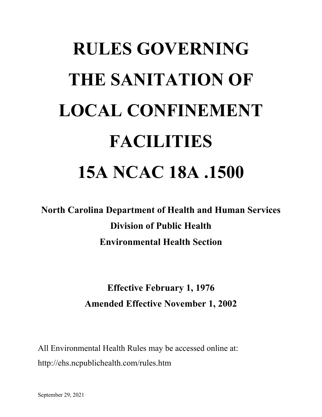# **RULES GOVERNING THE SANITATION OF LOCAL CONFINEMENT FACILITIES 15A NCAC 18A .1500**

**North Carolina Department of Health and Human Services Division of Public Health Environmental Health Section**

# **Effective February 1, 1976 Amended Effective November 1, 2002**

All Environmental Health Rules may be accessed online at: http://ehs.ncpublichealth.com/rules.htm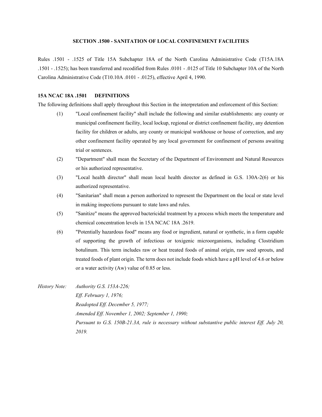## **SECTION .1500 - SANITATION OF LOCAL CONFINEMENT FACILITIES**

Rules .1501 - .1525 of Title 15A Subchapter 18A of the North Carolina Administrative Code (T15A.18A .1501 - .1525); has been transferred and recodified from Rules .0101 - .0125 of Title 10 Subchapter 10A of the North Carolina Administrative Code (T10.10A .0101 - .0125), effective April 4, 1990.

# **15A NCAC 18A .1501 DEFINITIONS**

The following definitions shall apply throughout this Section in the interpretation and enforcement of this Section:

- (1) "Local confinement facility" shall include the following and similar establishments: any county or municipal confinement facility, local lockup, regional or district confinement facility, any detention facility for children or adults, any county or municipal workhouse or house of correction, and any other confinement facility operated by any local government for confinement of persons awaiting trial or sentences.
- (2) "Department" shall mean the Secretary of the Department of Environment and Natural Resources or his authorized representative.
- (3) "Local health director" shall mean local health director as defined in G.S. 130A-2(6) or his authorized representative.
- (4) "Sanitarian" shall mean a person authorized to represent the Department on the local or state level in making inspections pursuant to state laws and rules.
- (5) "Sanitize" means the approved bactericidal treatment by a process which meets the temperature and chemical concentration levels in 15A NCAC 18A .2619.
- (6) "Potentially hazardous food" means any food or ingredient, natural or synthetic, in a form capable of supporting the growth of infectious or toxigenic microorganisms, including Clostridium botulinum. This term includes raw or heat treated foods of animal origin, raw seed sprouts, and treated foods of plant origin. The term does not include foods which have a pH level of 4.6 or below or a water activity (Aw) value of 0.85 or less.
- *History Note: Authority G.S. 153A-226; Eff. February 1, 1976; Readopted Eff. December 5, 1977; Amended Eff. November 1, 2002; September 1, 1990; Pursuant to G.S. 150B-21.3A, rule is necessary without substantive public interest Eff. July 20, 2019.*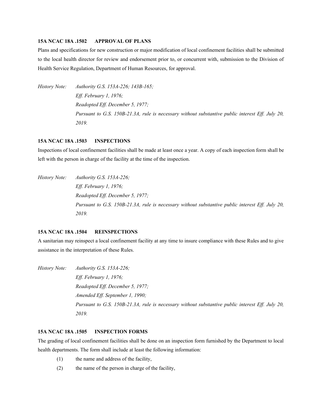#### **15A NCAC 18A .1502 APPROVAL OF PLANS**

Plans and specifications for new construction or major modification of local confinement facilities shall be submitted to the local health director for review and endorsement prior to, or concurrent with, submission to the Division of Health Service Regulation, Department of Human Resources, for approval.

*History Note: Authority G.S. 153A-226; 143B-165; Eff. February 1, 1976; Readopted Eff. December 5, 1977; Pursuant to G.S. 150B-21.3A, rule is necessary without substantive public interest Eff. July 20, 2019.*

# **15A NCAC 18A .1503 INSPECTIONS**

Inspections of local confinement facilities shall be made at least once a year. A copy of each inspection form shall be left with the person in charge of the facility at the time of the inspection.

*History Note: Authority G.S. 153A-226; Eff. February 1, 1976; Readopted Eff. December 5, 1977; Pursuant to G.S. 150B-21.3A, rule is necessary without substantive public interest Eff. July 20, 2019.*

# **15A NCAC 18A .1504 REINSPECTIONS**

A sanitarian may reinspect a local confinement facility at any time to insure compliance with these Rules and to give assistance in the interpretation of these Rules.

*History Note: Authority G.S. 153A-226; Eff. February 1, 1976; Readopted Eff. December 5, 1977; Amended Eff. September 1, 1990; Pursuant to G.S. 150B-21.3A, rule is necessary without substantive public interest Eff. July 20, 2019.*

# **15A NCAC 18A .1505 INSPECTION FORMS**

The grading of local confinement facilities shall be done on an inspection form furnished by the Department to local health departments. The form shall include at least the following information:

- (1) the name and address of the facility,
- (2) the name of the person in charge of the facility,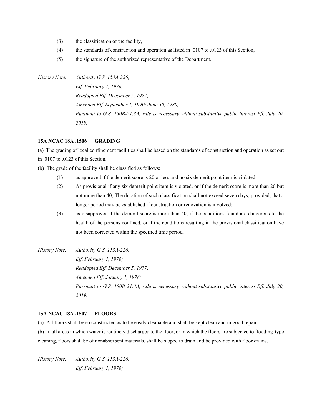- (3) the classification of the facility,
- (4) the standards of construction and operation as listed in .0107 to .0123 of this Section,
- (5) the signature of the authorized representative of the Department.

*History Note: Authority G.S. 153A-226; Eff. February 1, 1976; Readopted Eff. December 5, 1977; Amended Eff. September 1, 1990; June 30, 1980; Pursuant to G.S. 150B-21.3A, rule is necessary without substantive public interest Eff. July 20, 2019.*

#### **15A NCAC 18A .1506 GRADING**

(a) The grading of local confinement facilities shall be based on the standards of construction and operation as set out in .0107 to .0123 of this Section.

- (b) The grade of the facility shall be classified as follows:
	- (1) as approved if the demerit score is 20 or less and no six demerit point item is violated;
	- (2) As provisional if any six demerit point item is violated, or if the demerit score is more than 20 but not more than 40; The duration of such classification shall not exceed seven days; provided, that a longer period may be established if construction or renovation is involved;
	- (3) as disapproved if the demerit score is more than 40, if the conditions found are dangerous to the health of the persons confined, or if the conditions resulting in the provisional classification have not been corrected within the specified time period.
- *History Note: Authority G.S. 153A-226; Eff. February 1, 1976; Readopted Eff. December 5, 1977; Amended Eff. January 1, 1978; Pursuant to G.S. 150B-21.3A, rule is necessary without substantive public interest Eff. July 20, 2019.*

## **15A NCAC 18A .1507 FLOORS**

(a) All floors shall be so constructed as to be easily cleanable and shall be kept clean and in good repair.

(b) In all areas in which water is routinely discharged to the floor, or in which the floors are subjected to flooding-type cleaning, floors shall be of nonabsorbent materials, shall be sloped to drain and be provided with floor drains.

*History Note: Authority G.S. 153A-226; Eff. February 1, 1976;*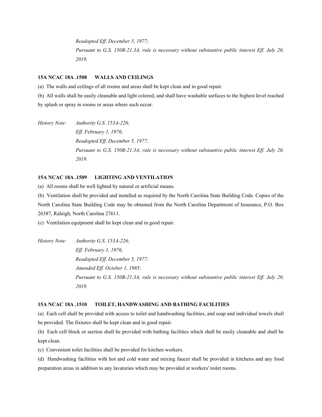*Readopted Eff. December 5, 1977; Pursuant to G.S. 150B-21.3A, rule is necessary without substantive public interest Eff. July 20, 2019.*

#### **15A NCAC 18A .1508 WALLS AND CEILINGS**

(a) The walls and ceilings of all rooms and areas shall be kept clean and in good repair.

(b) All walls shall be easily cleanable and light colored, and shall have washable surfaces to the highest level reached by splash or spray in rooms or areas where such occur.

*History Note: Authority G.S. 153A-226; Eff. February 1, 1976; Readopted Eff. December 5, 1977; Pursuant to G.S. 150B-21.3A, rule is necessary without substantive public interest Eff. July 20, 2019.*

## **15A NCAC 18A .1509 LIGHTING AND VENTILATION**

(a) All rooms shall be well lighted by natural or artificial means.

(b) Ventilation shall be provided and installed as required by the North Carolina State Building Code. Copies of the North Carolina State Building Code may be obtained from the North Carolina Department of Insurance, P.O. Box 26387, Raleigh, North Carolina 27611.

(c) Ventilation equipment shall be kept clean and in good repair.

*History Note: Authority G.S. 153A-226; Eff. February 1, 1976; Readopted Eff. December 5, 1977; Amended Eff. October 1, 1985; Pursuant to G.S. 150B-21.3A, rule is necessary without substantive public interest Eff. July 20, 2019.*

#### **15A NCAC 18A .1510 TOILET, HANDWASHING AND BATHING FACILITIES**

(a) Each cell shall be provided with access to toilet and handwashing facilities, and soap and individual towels shall be provided. The fixtures shall be kept clean and in good repair.

(b) Each cell block or section shall be provided with bathing facilities which shall be easily cleanable and shall be kept clean.

(c) Convenient toilet facilities shall be provided for kitchen workers.

(d) Handwashing facilities with hot and cold water and mixing faucet shall be provided in kitchens and any food preparation areas in addition to any lavatories which may be provided at workers' toilet rooms.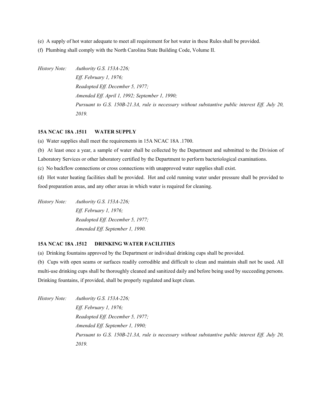(e) A supply of hot water adequate to meet all requirement for hot water in these Rules shall be provided.

(f) Plumbing shall comply with the North Carolina State Building Code, Volume II.

*History Note: Authority G.S. 153A-226;*

*Eff. February 1, 1976; Readopted Eff. December 5, 1977; Amended Eff. April 1, 1992; September 1, 1990; Pursuant to G.S. 150B-21.3A, rule is necessary without substantive public interest Eff. July 20, 2019.*

#### **15A NCAC 18A .1511 WATER SUPPLY**

(a) Water supplies shall meet the requirements in 15A NCAC 18A .1700.

(b) At least once a year, a sample of water shall be collected by the Department and submitted to the Division of Laboratory Services or other laboratory certified by the Department to perform bacteriological examinations.

(c) No backflow connections or cross connections with unapproved water supplies shall exist.

(d) Hot water heating facilities shall be provided. Hot and cold running water under pressure shall be provided to food preparation areas, and any other areas in which water is required for cleaning.

*History Note: Authority G.S. 153A-226; Eff. February 1, 1976; Readopted Eff. December 5, 1977; Amended Eff. September 1, 1990.*

# **15A NCAC 18A .1512 DRINKING WATER FACILITIES**

(a) Drinking fountains approved by the Department or individual drinking cups shall be provided.

(b) Cups with open seams or surfaces readily corrodible and difficult to clean and maintain shall not be used. All multi-use drinking cups shall be thoroughly cleaned and sanitized daily and before being used by succeeding persons. Drinking fountains, if provided, shall be properly regulated and kept clean.

*History Note: Authority G.S. 153A-226; Eff. February 1, 1976; Readopted Eff. December 5, 1977; Amended Eff. September 1, 1990; Pursuant to G.S. 150B-21.3A, rule is necessary without substantive public interest Eff. July 20, 2019.*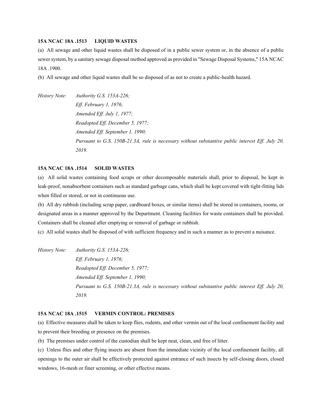### **15A NCAC 18A .1513 LIQUID WASTES**

(a) All sewage and other liquid wastes shall be disposed of in a public sewer system or, in the absence of a public sewer system, by a sanitary sewage disposal method approved as provided in "Sewage Disposal Systems," 15A NCAC 18A .1900.

(b) All sewage and other liquid wastes shall be so disposed of as not to create a public-health hazard.

*History Note: Authority G.S. 153A-226; Eff. February 1, 1976; Amended Eff. July 1, 1977; Readopted Eff. December 5, 1977; Amended Eff. September 1, 1990; Pursuant to G.S. 150B-21.3A, rule is necessary without substantive public interest Eff. July 20, 2019.*

# **15A NCAC 18A .1514 SOLID WASTES**

(a) All solid wastes containing food scraps or other decomposable materials shall, prior to disposal, be kept in leak-proof, nonabsorbent containers such as standard garbage cans, which shall be kept covered with tight-fitting lids when filled or stored, or not in continuous use.

(b) All dry rubbish (including scrap paper, cardboard boxes, or similar items) shall be stored in containers, rooms, or designated areas in a manner approved by the Department. Cleaning facilities for waste containers shall be provided. Containers shall be cleaned after emptying or removal of garbage or rubbish.

(c) All solid wastes shall be disposed of with sufficient frequency and in such a manner as to prevent a nuisance.

*History Note: Authority G.S. 153A-226; Eff. February 1, 1976; Readopted Eff. December 5, 1977; Amended Eff. September 1, 1990; Pursuant to G.S. 150B-21.3A, rule is necessary without substantive public interest Eff. July 20, 2019.*

## **15A NCAC 18A .1515 VERMIN CONTROL: PREMISES**

(a) Effective measures shall be taken to keep flies, rodents, and other vermin out of the local confinement facility and to prevent their breeding or presence on the premises.

(b) The premises under control of the custodian shall be kept neat, clean, and free of litter.

(c) Unless flies and other flying insects are absent from the immediate vicinity of the local confinement facility, all openings to the outer air shall be effectively protected against entrance of such insects by self-closing doors, closed windows, 16-mesh or finer screening, or other effective means.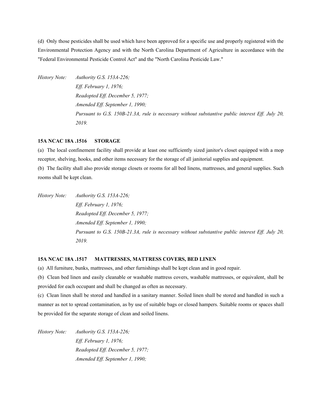(d) Only those pesticides shall be used which have been approved for a specific use and properly registered with the Environmental Protection Agency and with the North Carolina Department of Agriculture in accordance with the "Federal Environmental Pesticide Control Act" and the "North Carolina Pesticide Law."

*History Note: Authority G.S. 153A-226; Eff. February 1, 1976; Readopted Eff. December 5, 1977; Amended Eff. September 1, 1990; Pursuant to G.S. 150B-21.3A, rule is necessary without substantive public interest Eff. July 20, 2019.*

#### **15A NCAC 18A .1516 STORAGE**

(a) The local confinement facility shall provide at least one sufficiently sized janitor's closet equipped with a mop receptor, shelving, hooks, and other items necessary for the storage of all janitorial supplies and equipment. (b) The facility shall also provide storage closets or rooms for all bed linens, mattresses, and general supplies. Such

rooms shall be kept clean.

*History Note: Authority G.S. 153A-226; Eff. February 1, 1976; Readopted Eff. December 5, 1977; Amended Eff. September 1, 1990; Pursuant to G.S. 150B-21.3A, rule is necessary without substantive public interest Eff. July 20, 2019.*

#### **15A NCAC 18A .1517 MATTRESSES, MATTRESS COVERS, BED LINEN**

(a) All furniture, bunks, mattresses, and other furnishings shall be kept clean and in good repair.

(b) Clean bed linen and easily cleanable or washable mattress covers, washable mattresses, or equivalent, shall be provided for each occupant and shall be changed as often as necessary.

(c) Clean linen shall be stored and handled in a sanitary manner. Soiled linen shall be stored and handled in such a manner as not to spread contamination, as by use of suitable bags or closed hampers. Suitable rooms or spaces shall be provided for the separate storage of clean and soiled linens.

*History Note: Authority G.S. 153A-226; Eff. February 1, 1976; Readopted Eff. December 5, 1977; Amended Eff. September 1, 1990;*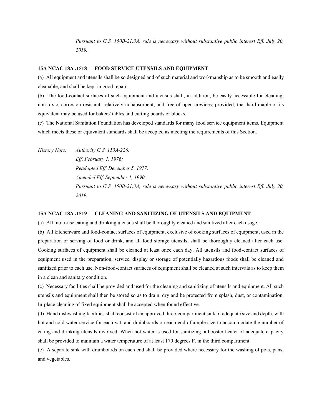*Pursuant to G.S. 150B-21.3A, rule is necessary without substantive public interest Eff. July 20, 2019.*

#### **15A NCAC 18A .1518 FOOD SERVICE UTENSILS AND EQUIPMENT**

(a) All equipment and utensils shall be so designed and of such material and workmanship as to be smooth and easily cleanable, and shall be kept in good repair.

(b) The food-contact surfaces of such equipment and utensils shall, in addition, be easily accessible for cleaning, non-toxic, corrosion-resistant, relatively nonabsorbent, and free of open crevices; provided, that hard maple or its equivalent may be used for bakers' tables and cutting boards or blocks.

(c) The National Sanitation Foundation has developed standards for many food service equipment items. Equipment which meets these or equivalent standards shall be accepted as meeting the requirements of this Section.

*History Note: Authority G.S. 153A-226; Eff. February 1, 1976; Readopted Eff. December 5, 1977; Amended Eff. September 1, 1990; Pursuant to G.S. 150B-21.3A, rule is necessary without substantive public interest Eff. July 20, 2019.*

#### **15A NCAC 18A .1519 CLEANING AND SANITIZING OF UTENSILS AND EQUIPMENT**

(a) All multi-use eating and drinking utensils shall be thoroughly cleaned and sanitized after each usage.

(b) All kitchenware and food-contact surfaces of equipment, exclusive of cooking surfaces of equipment, used in the preparation or serving of food or drink, and all food storage utensils, shall be thoroughly cleaned after each use. Cooking surfaces of equipment shall be cleaned at least once each day. All utensils and food-contact surfaces of equipment used in the preparation, service, display or storage of potentially hazardous foods shall be cleaned and sanitized prior to each use. Non-food-contact surfaces of equipment shall be cleaned at such intervals as to keep them in a clean and sanitary condition.

(c) Necessary facilities shall be provided and used for the cleaning and sanitizing of utensils and equipment. All such utensils and equipment shall then be stored so as to drain, dry and be protected from splash, dust, or contamination. In-place cleaning of fixed equipment shall be accepted when found effective.

(d) Hand dishwashing facilities shall consist of an approved three-compartment sink of adequate size and depth, with hot and cold water service for each vat, and drainboards on each end of ample size to accommodate the number of eating and drinking utensils involved. When hot water is used for sanitizing, a booster heater of adequate capacity shall be provided to maintain a water temperature of at least 170 degrees F. in the third compartment.

(e) A separate sink with drainboards on each end shall be provided where necessary for the washing of pots, pans, and vegetables.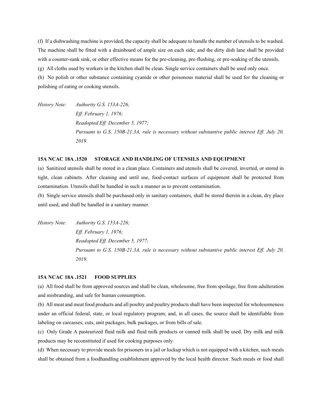(f) If a dishwashing machine is provided, the capacity shall be adequate to handle the number of utensils to be washed. The machine shall be fitted with a drainboard of ample size on each side; and the dirty dish lane shall be provided with a counter-sunk sink, or other effective means for the pre-cleaning, pre-flushing, or pre-soaking of the utensils. (g) All cloths used by workers in the kitchen shall be clean. Single service containers shall be used only once. (h) No polish or other substance containing cyanide or other poisonous material shall be used for the cleaning or polishing of eating or cooking utensils.

*History Note: Authority G.S. 153A-226; Eff. February 1, 1976; Readopted Eff. December 5, 1977; Pursuant to G.S. 150B-21.3A, rule is necessary without substantive public interest Eff. July 20, 2019.*

# **15A NCAC 18A .1520 STORAGE AND HANDLING OF UTENSILS AND EQUIPMENT**

(a) Sanitized utensils shall be stored in a clean place. Containers and utensils shall be covered, inverted, or stored in tight, clean cabinets. After cleaning and until use, food-contact surfaces of equipment shall be protected from contamination. Utensils shall be handled in such a manner as to prevent contamination.

(b) Single service utensils shall be purchased only in sanitary containers, shall be stored therein in a clean, dry place until used, and shall be handled in a sanitary manner.

*History Note: Authority G.S. 153A-226; Eff. February 1, 1976; Readopted Eff. December 5, 1977; Pursuant to G.S. 150B-21.3A, rule is necessary without substantive public interest Eff. July 20, 2019.*

#### **15A NCAC 18A .1521 FOOD SUPPLIES**

(a) All food shall be from approved sources and shall be clean, wholesome, free from spoilage, free from adulteration and misbranding, and safe for human consumption.

(b) All meat and meat food products and all poultry and poultry products shall have been inspected for wholesomeness under an official federal, state, or local regulatory program; and, in all cases, the source shall be identifiable from labeling on carcasses, cuts, unit packages, bulk packages, or from bills of sale.

(c) Only Grade A pasteurized fluid milk and fluid milk products or canned milk shall be used. Dry milk and milk products may be reconstituted if used for cooking purposes only.

(d) When necessary to provide meals for prisoners in a jail or lockup which is not equipped with a kitchen, such meals shall be obtained from a foodhandling establishment approved by the local health director. Such meals or food shall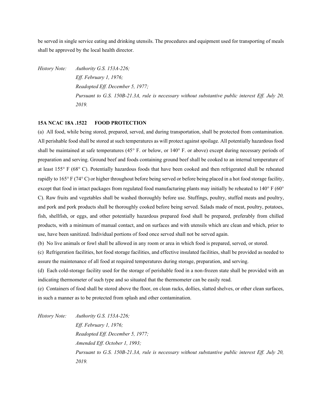be served in single service eating and drinking utensils. The procedures and equipment used for transporting of meals shall be approved by the local health director.

*History Note: Authority G.S. 153A-226; Eff. February 1, 1976; Readopted Eff. December 5, 1977; Pursuant to G.S. 150B-21.3A, rule is necessary without substantive public interest Eff. July 20, 2019.*

#### **15A NCAC 18A .1522 FOOD PROTECTION**

(a) All food, while being stored, prepared, served, and during transportation, shall be protected from contamination. All perishable food shall be stored at such temperatures as will protect against spoilage. All potentially hazardous food shall be maintained at safe temperatures (45 $\degree$  F. or below, or 140 $\degree$  F. or above) except during necessary periods of preparation and serving. Ground beef and foods containing ground beef shall be cooked to an internal temperature of at least  $155^{\circ}$  F (68 $^{\circ}$  C). Potentially hazardous foods that have been cooked and then refrigerated shall be reheated rapidly to  $165^\circ$  F (74 $\circ$  C) or higher throughout before being served or before being placed in a hot food storage facility, except that food in intact packages from regulated food manufacturing plants may initially be reheated to  $140^\circ$  F (60 $^\circ$ C). Raw fruits and vegetables shall be washed thoroughly before use. Stuffings, poultry, stuffed meats and poultry, and pork and pork products shall be thoroughly cooked before being served. Salads made of meat, poultry, potatoes, fish, shellfish, or eggs, and other potentially hazardous prepared food shall be prepared, preferably from chilled products, with a minimum of manual contact, and on surfaces and with utensils which are clean and which, prior to use, have been sanitized. Individual portions of food once served shall not be served again.

(b) No live animals or fowl shall be allowed in any room or area in which food is prepared, served, or stored.

(c) Refrigeration facilities, hot food storage facilities, and effective insulated facilities, shall be provided as needed to assure the maintenance of all food at required temperatures during storage, preparation, and serving.

(d) Each cold-storage facility used for the storage of perishable food in a non-frozen state shall be provided with an indicating thermometer of such type and so situated that the thermometer can be easily read.

(e) Containers of food shall be stored above the floor, on clean racks, dollies, slatted shelves, or other clean surfaces, in such a manner as to be protected from splash and other contamination.

*History Note: Authority G.S. 153A-226; Eff. February 1, 1976; Readopted Eff. December 5, 1977; Amended Eff. October 1, 1993; Pursuant to G.S. 150B-21.3A, rule is necessary without substantive public interest Eff. July 20, 2019.*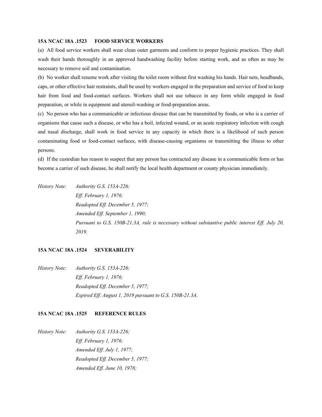#### **15A NCAC 18A .1523 FOOD SERVICE WORKERS**

(a) All food service workers shall wear clean outer garments and conform to proper hygienic practices. They shall wash their hands thoroughly in an approved handwashing facility before starting work, and as often as may be necessary to remove soil and contamination.

(b) No worker shall resume work after visiting the toilet room without first washing his hands. Hair nets, headbands, caps, or other effective hair restraints, shall be used by workers engaged in the preparation and service of food to keep hair from food and food-contact surfaces. Workers shall not use tobacco in any form while engaged in food preparation, or while in equipment and utensil-washing or food-preparation areas.

(c) No person who has a communicable or infectious disease that can be transmitted by foods, or who is a carrier of organisms that cause such a disease, or who has a boil, infected wound, or an acute respiratory infection with cough and nasal discharge, shall work in food service in any capacity in which there is a likelihood of such person contaminating food or food-contact surfaces, with disease-causing organisms or transmitting the illness to other persons.

(d) If the custodian has reason to suspect that any person has contracted any disease in a communicable form or has become a carrier of such disease, he shall notify the local health department or county physician immediately.

*History Note: Authority G.S. 153A-226; Eff. February 1, 1976; Readopted Eff. December 5, 1977; Amended Eff. September 1, 1990; Pursuant to G.S. 150B-21.3A, rule is necessary without substantive public interest Eff. July 20, 2019.*

# **15A NCAC 18A .1524 SEVERABILITY**

*History Note: Authority G.S. 153A-226; Eff. February 1, 1976; Readopted Eff. December 5, 1977; Expired Eff. August 1, 2019 pursuant to G.S. 150B-21.3A.*

## **15A NCAC 18A .1525 REFERENCE RULES**

*History Note: Authority G.S. 153A-226; Eff. February 1, 1976; Amended Eff. July 1, 1977; Readopted Eff. December 5, 1977; Amended Eff. June 10, 1978;*